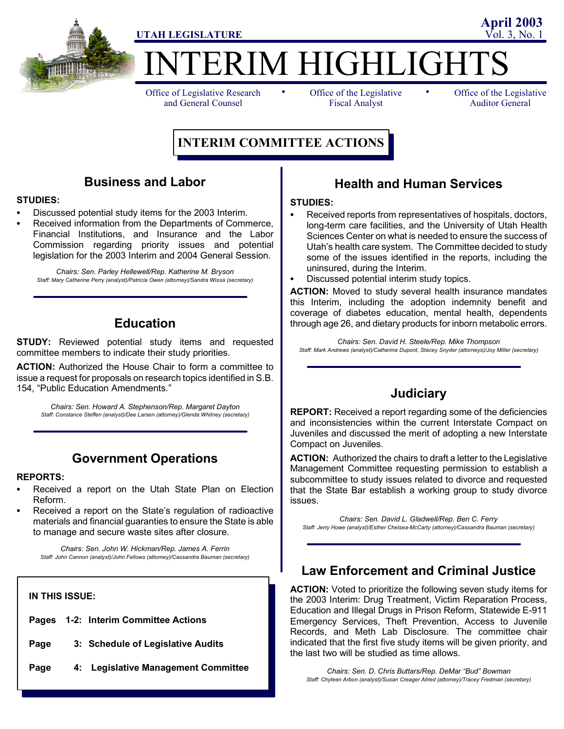

**IERIM HIGHLIGHT** 

Office of Legislative Research and General Counsel

• Office of the Legislative • Fiscal Analyst

Office of the Legislative Auditor General

**April 2003**

# **INTERIM COMMITTEE ACTIONS**

### **Business and Labor**

#### **STUDIES:**

- Discussed potential study items for the 2003 Interim.
- Received information from the Departments of Commerce, Financial Institutions, and Insurance and the Labor Commission regarding priority issues and potential legislation for the 2003 Interim and 2004 General Session.

*Chairs: Sen. Parley Hellewell/Rep. Katherine M. Bryson Staff: Mary Catherine Perry (analyst)/Patricia Owen (attorney)/Sandra Wissa (secretary)*

### **Education**

**STUDY:** Reviewed potential study items and requested committee members to indicate their study priorities.

**ACTION:** Authorized the House Chair to form a committee to issue a request for proposals on research topics identified in S.B. 154, "Public Education Amendments."

*Chairs: Sen. Howard A. Stephenson/Rep. Margaret Dayton Staff: Constance Steffen (analyst)/Dee Larsen (attorney)/Glenda Whitney (secretary)*

### **Government Operations**

#### **REPORTS:**

- Received a report on the Utah State Plan on Election Reform.
- Received a report on the State's regulation of radioactive materials and financial guaranties to ensure the State is able to manage and secure waste sites after closure.

*Chairs: Sen. John W. Hickman/Rep. James A. Ferrin Staff: John Cannon (analyst)/John Fellows (attorney)/Cassandra Bauman (secretary)*

#### **IN THIS ISSUE:**

- **Pages 1-2: Interim Committee Actions**
- **Page 3: Schedule of Legislative Audits**
- **Page 4: Legislative Management Committee**

### **Health and Human Services**

#### **STUDIES:**

- Received reports from representatives of hospitals, doctors, long-term care facilities, and the University of Utah Health Sciences Center on what is needed to ensure the success of Utah's health care system. The Committee decided to study some of the issues identified in the reports, including the uninsured, during the Interim.
- Discussed potential interim study topics.

**ACTION:** Moved to study several health insurance mandates this Interim, including the adoption indemnity benefit and coverage of diabetes education, mental health, dependents through age 26, and dietary products for inborn metabolic errors.

*Chairs: Sen. David H. Steele/Rep. Mike Thompson Staff: Mark Andrews (analyst)/Catherine Dupont, Stacey Snyder (attorneys)/Joy Miller (secretary)*

### **Judiciary**

**REPORT:** Received a report regarding some of the deficiencies and inconsistencies within the current Interstate Compact on Juveniles and discussed the merit of adopting a new Interstate Compact on Juveniles.

**ACTION:** Authorized the chairs to draft a letter to the Legislative Management Committee requesting permission to establish a subcommittee to study issues related to divorce and requested that the State Bar establish a working group to study divorce issues.

*Chairs: Sen. David L. Gladwell/Rep. Ben C. Ferry Staff: Jerry Howe (analyst)/Esther Chelsea-McCarty (attorney)/Cassandra Bauman (secretary)*

### **Law Enforcement and Criminal Justice**

**ACTION:** Voted to prioritize the following seven study items for the 2003 Interim: Drug Treatment, Victim Reparation Process, Education and Illegal Drugs in Prison Reform, Statewide E-911 Emergency Services, Theft Prevention, Access to Juvenile Records, and Meth Lab Disclosure. The committee chair indicated that the first five study items will be given priority, and the last two will be studied as time allows.

*Chairs: Sen. D. Chris Buttars/Rep. DeMar "Bud" Bowman Staff: Chyleen Arbon (analyst)/Susan Creager Allred (attorney)/Tracey Fredman (secretary)*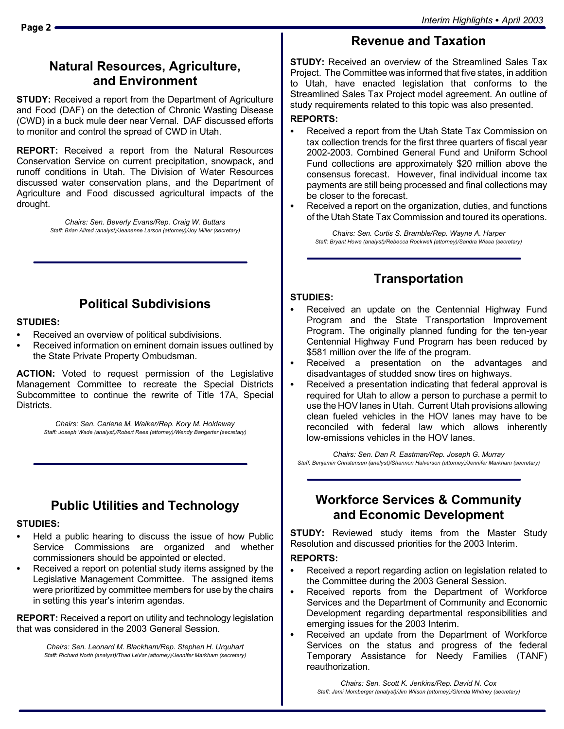# **Natural Resources, Agriculture, and Environment**

**STUDY:** Received a report from the Department of Agriculture and Food (DAF) on the detection of Chronic Wasting Disease (CWD) in a buck mule deer near Vernal. DAF discussed efforts to monitor and control the spread of CWD in Utah.

**REPORT:** Received a report from the Natural Resources Conservation Service on current precipitation, snowpack, and runoff conditions in Utah. The Division of Water Resources discussed water conservation plans, and the Department of Agriculture and Food discussed agricultural impacts of the drought.

> *Chairs: Sen. Beverly Evans/Rep. Craig W. Buttars Staff: Brian Allred (analyst)/Jeanenne Larson (attorney)/Joy Miller (secretary)*

# **Political Subdivisions**

#### **STUDIES:**

- Received an overview of political subdivisions.
- Received information on eminent domain issues outlined by the State Private Property Ombudsman.

**ACTION:** Voted to request permission of the Legislative Management Committee to recreate the Special Districts Subcommittee to continue the rewrite of Title 17A, Special Districts.

> *Chairs: Sen. Carlene M. Walker/Rep. Kory M. Holdaway Staff: Joseph Wade (analyst)/Robert Rees (attorney)/Wendy Bangerter (secretary)*

# **Public Utilities and Technology**

#### **STUDIES:**

- Held a public hearing to discuss the issue of how Public Service Commissions are organized and whether commissioners should be appointed or elected.
- Received a report on potential study items assigned by the Legislative Management Committee. The assigned items were prioritized by committee members for use by the chairs in setting this year's interim agendas.

**REPORT:** Received a report on utility and technology legislation that was considered in the 2003 General Session.

> *Chairs: Sen. Leonard M. Blackham/Rep. Stephen H. Urquhart Staff: Richard North (analyst)/Thad LeVar (attorney)/Jennifer Markham (secretary)*

**STUDY:** Received an overview of the Streamlined Sales Tax Project. The Committee was informed that five states, in addition to Utah, have enacted legislation that conforms to the Streamlined Sales Tax Project model agreement. An outline of study requirements related to this topic was also presented.

**Revenue and Taxation**

#### **REPORTS:**

- Received a report from the Utah State Tax Commission on tax collection trends for the first three quarters of fiscal year 2002-2003. Combined General Fund and Uniform School Fund collections are approximately \$20 million above the consensus forecast. However, final individual income tax payments are still being processed and final collections may be closer to the forecast.
- Received a report on the organization, duties, and functions of the Utah State Tax Commission and toured its operations.

*Chairs: Sen. Curtis S. Bramble/Rep. Wayne A. Harper Staff: Bryant Howe (analyst)/Rebecca Rockwell (attorney)/Sandra Wissa (secretary)*

## **Transportation**

#### **STUDIES:**

- Received an update on the Centennial Highway Fund Program and the State Transportation Improvement Program. The originally planned funding for the ten-year Centennial Highway Fund Program has been reduced by \$581 million over the life of the program.
- Received a presentation on the advantages and disadvantages of studded snow tires on highways.
- Received a presentation indicating that federal approval is required for Utah to allow a person to purchase a permit to use the HOV lanes in Utah. Current Utah provisions allowing clean fueled vehicles in the HOV lanes may have to be reconciled with federal law which allows inherently low-emissions vehicles in the HOV lanes.

*Chairs: Sen. Dan R. Eastman/Rep. Joseph G. Murray Staff: Benjamin Christensen (analyst)/Shannon Halverson (attorney)/Jennifer Markham (secretary)*

### **Workforce Services & Community and Economic Development**

**STUDY:** Reviewed study items from the Master Study Resolution and discussed priorities for the 2003 Interim.

#### **REPORTS:**

- Received a report regarding action on legislation related to the Committee during the 2003 General Session.
- Received reports from the Department of Workforce Services and the Department of Community and Economic Development regarding departmental responsibilities and emerging issues for the 2003 Interim.
- Received an update from the Department of Workforce Services on the status and progress of the federal Temporary Assistance for Needy Families (TANF) reauthorization.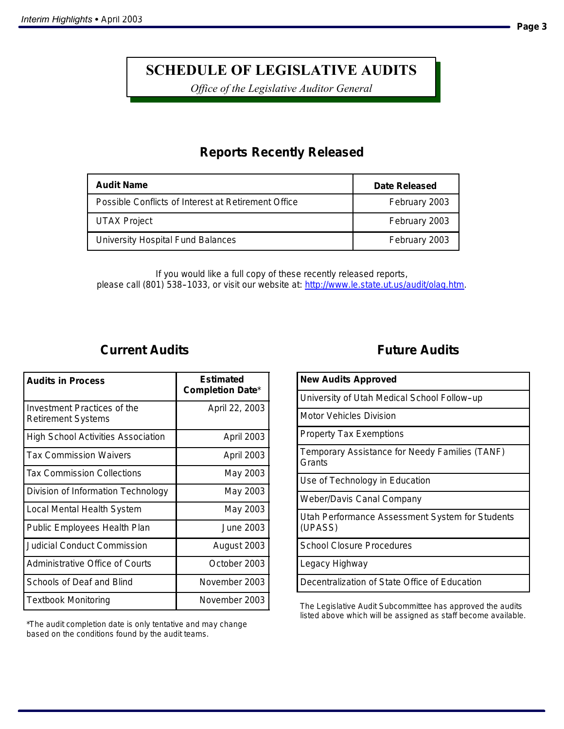# **SCHEDULE OF LEGISLATIVE AUDITS**

*Office of the Legislative Auditor General*

# **Reports Recently Released**

| <b>Audit Name</b>                                   | Date Released |
|-----------------------------------------------------|---------------|
| Possible Conflicts of Interest at Retirement Office | February 2003 |
| <b>UTAX Project</b>                                 | February 2003 |
| University Hospital Fund Balances                   | February 2003 |

*If you would like a full copy of these recently released reports, please call (801) 538--1033, or visit our website at: http://www.le.state.ut.us/audit/olag.htm.*

## **Current Audits**

| <b>Audits in Process</b>                                 | Estimated<br><b>Completion Date*</b> |
|----------------------------------------------------------|--------------------------------------|
| Investment Practices of the<br><b>Retirement Systems</b> | April 22, 2003                       |
| <b>High School Activities Association</b>                | <b>April 2003</b>                    |
| <b>Tax Commission Waivers</b>                            | <b>April 2003</b>                    |
| <b>Tax Commission Collections</b>                        | May 2003                             |
| Division of Information Technology                       | May 2003                             |
| Local Mental Health System                               | May 2003                             |
| Public Employees Health Plan                             | June 2003.                           |
| Judicial Conduct Commission                              | August 2003                          |
| Administrative Office of Courts                          | October 2003                         |
| Schools of Deaf and Blind                                | November 2003                        |
| Textbook Monitoring                                      | November 2003                        |

\*The audit completion date is only tentative and may change based on the conditions found by the audit teams.

## **Future Audits**

| <b>New Audits Approved</b>                                 |
|------------------------------------------------------------|
| University of Utah Medical School Follow-up                |
| Motor Vehicles Division                                    |
| <b>Property Tax Exemptions</b>                             |
| Temporary Assistance for Needy Families (TANF)<br>Grants   |
| Use of Technology in Education                             |
| <b>Weber/Davis Canal Company</b>                           |
| Utah Performance Assessment System for Students<br>(UPASS) |
| <b>School Closure Procedures</b>                           |
| Legacy Highway                                             |
| Decentralization of State Office of Education              |

The Legislative Audit Subcommittee has approved the audits listed above which will be assigned as staff become available.